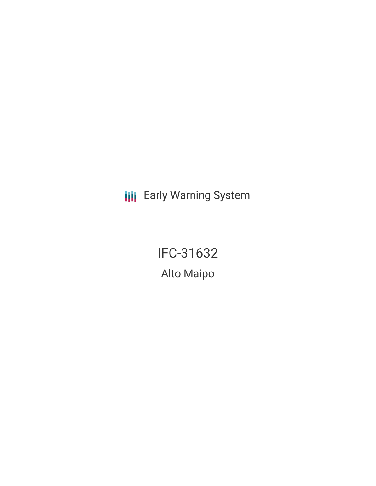**III** Early Warning System

IFC-31632 Alto Maipo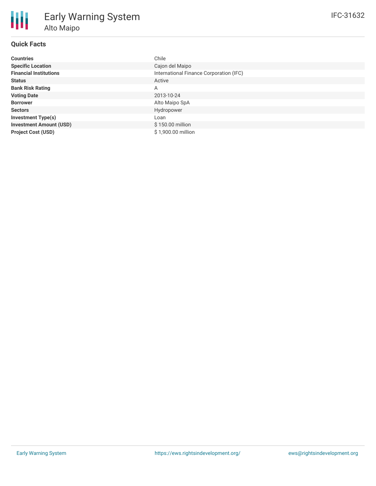| <b>Countries</b>               | Chile                                   |
|--------------------------------|-----------------------------------------|
| <b>Specific Location</b>       | Cajon del Maipo                         |
| <b>Financial Institutions</b>  | International Finance Corporation (IFC) |
| <b>Status</b>                  | Active                                  |
| <b>Bank Risk Rating</b>        | A                                       |
| <b>Voting Date</b>             | 2013-10-24                              |
| <b>Borrower</b>                | Alto Maipo SpA                          |
| <b>Sectors</b>                 | Hydropower                              |
| <b>Investment Type(s)</b>      | Loan                                    |
| <b>Investment Amount (USD)</b> | \$150.00 million                        |
| <b>Project Cost (USD)</b>      | \$1,900.00 million                      |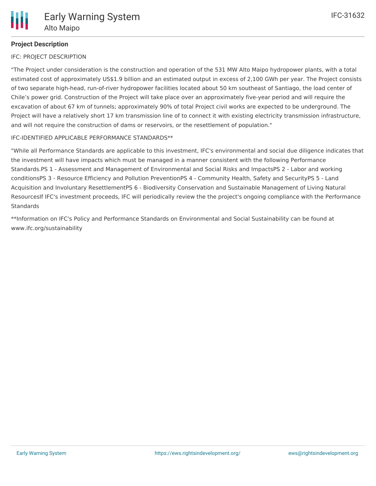# **Project Description**

#### IFC: PROJECT DESCRIPTION

"The Project under consideration is the construction and operation of the 531 MW Alto Maipo hydropower plants, with a total estimated cost of approximately US\$1.9 billion and an estimated output in excess of 2,100 GWh per year. The Project consists of two separate high-head, run-of-river hydropower facilities located about 50 km southeast of Santiago, the load center of Chile's power grid. Construction of the Project will take place over an approximately five-year period and will require the excavation of about 67 km of tunnels; approximately 90% of total Project civil works are expected to be underground. The Project will have a relatively short 17 km transmission line of to connect it with existing electricity transmission infrastructure, and will not require the construction of dams or reservoirs, or the resettlement of population."

#### IFC-IDENTIFIED APPLICABLE PERFORMANCE STANDARDS\*\*

"While all Performance Standards are applicable to this investment, IFC's environmental and social due diligence indicates that the investment will have impacts which must be managed in a manner consistent with the following Performance Standards.PS 1 - Assessment and Management of Environmental and Social Risks and ImpactsPS 2 - Labor and working conditionsPS 3 - Resource Efficiency and Pollution PreventionPS 4 - Community Health, Safety and SecurityPS 5 - Land Acquisition and Involuntary ResettlementPS 6 - Biodiversity Conservation and Sustainable Management of Living Natural ResourcesIf IFC's investment proceeds, IFC will periodically review the the project's ongoing compliance with the Performance **Standards** 

\*\*Information on IFC's Policy and Performance Standards on Environmental and Social Sustainability can be found at www.ifc.org/sustainability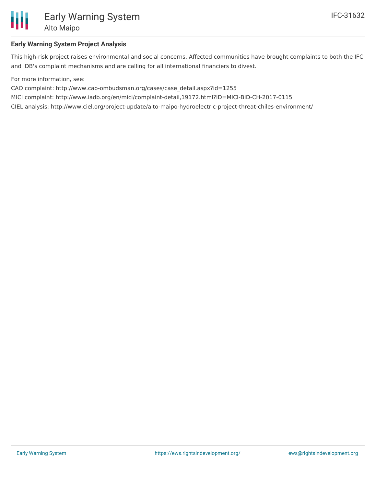

## **Early Warning System Project Analysis**

This high-risk project raises environmental and social concerns. Affected communities have brought complaints to both the IFC and IDB's complaint mechanisms and are calling for all international financiers to divest.

For more information, see:

CAO complaint: http://www.cao-ombudsman.org/cases/case\_detail.aspx?id=1255

MICI complaint: http://www.iadb.org/en/mici/complaint-detail,19172.html?ID=MICI-BID-CH-2017-0115

CIEL analysis: http://www.ciel.org/project-update/alto-maipo-hydroelectric-project-threat-chiles-environment/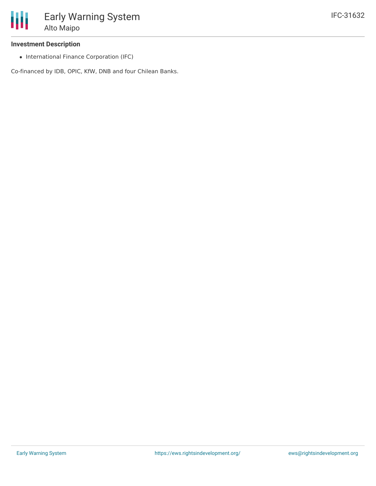### **Investment Description**

• International Finance Corporation (IFC)

Co-financed by IDB, OPIC, KfW, DNB and four Chilean Banks.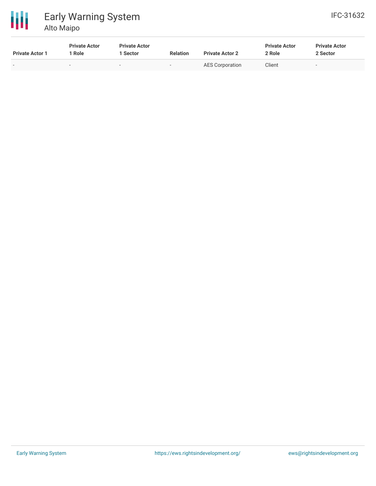

#### 冊 Early Warning System Alto Maipo

| <b>Private Actor 1</b> | <b>Private Actor</b><br>Role | <b>Private Actor</b><br>l Sector | <b>Relation</b>          | <b>Private Actor 2</b> | <b>Private Actor</b><br>2 Role | <b>Private Actor</b><br>2 Sector |
|------------------------|------------------------------|----------------------------------|--------------------------|------------------------|--------------------------------|----------------------------------|
|                        | $\sim$                       | $\sim$                           | $\overline{\phantom{0}}$ | AES Corporation        | Client                         | $\overline{\phantom{a}}$         |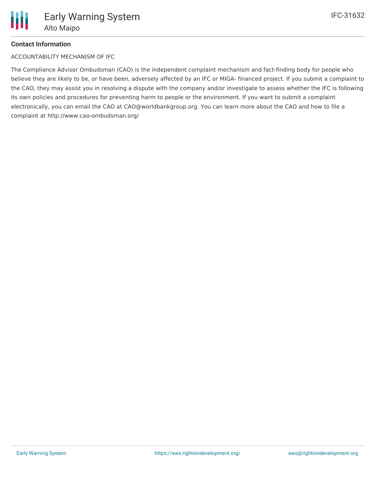# **Contact Information**

ACCOUNTABILITY MECHANISM OF IFC

The Compliance Advisor Ombudsman (CAO) is the independent complaint mechanism and fact-finding body for people who believe they are likely to be, or have been, adversely affected by an IFC or MIGA- financed project. If you submit a complaint to the CAO, they may assist you in resolving a dispute with the company and/or investigate to assess whether the IFC is following its own policies and procedures for preventing harm to people or the environment. If you want to submit a complaint electronically, you can email the CAO at CAO@worldbankgroup.org. You can learn more about the CAO and how to file a complaint at http://www.cao-ombudsman.org/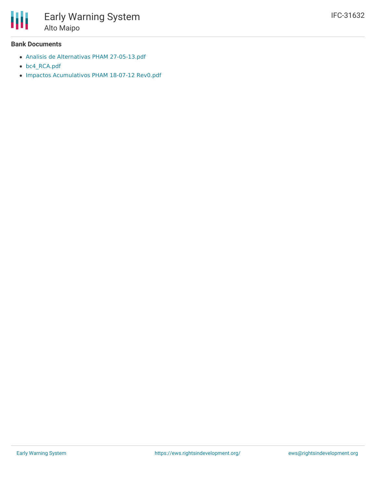

#### **Bank Documents**

- Analisis de Alternativas PHAM [27-05-13.pdf](http://ifcextapps.ifc.org/ifcext/spiwebsite1.nsf/0/c2ae8c88586c070285257bb7006810cd/$File/Analisis de Alternativas PHAM 27-05-13.pdf)
- [bc4\\_RCA.pdf](http://ifcextapps.ifc.org/ifcext/spiwebsite1.nsf/0/c2ae8c88586c070285257bb7006810cd/$File/bc4_RCA.pdf)
- Impactos [Acumulativos](http://ifcextapps.ifc.org/ifcext/spiwebsite1.nsf/0/c2ae8c88586c070285257bb7006810cd/$File/Impactos Acumulativos PHAM 18-07-12 Rev0.pdf) PHAM 18-07-12 Rev0.pdf